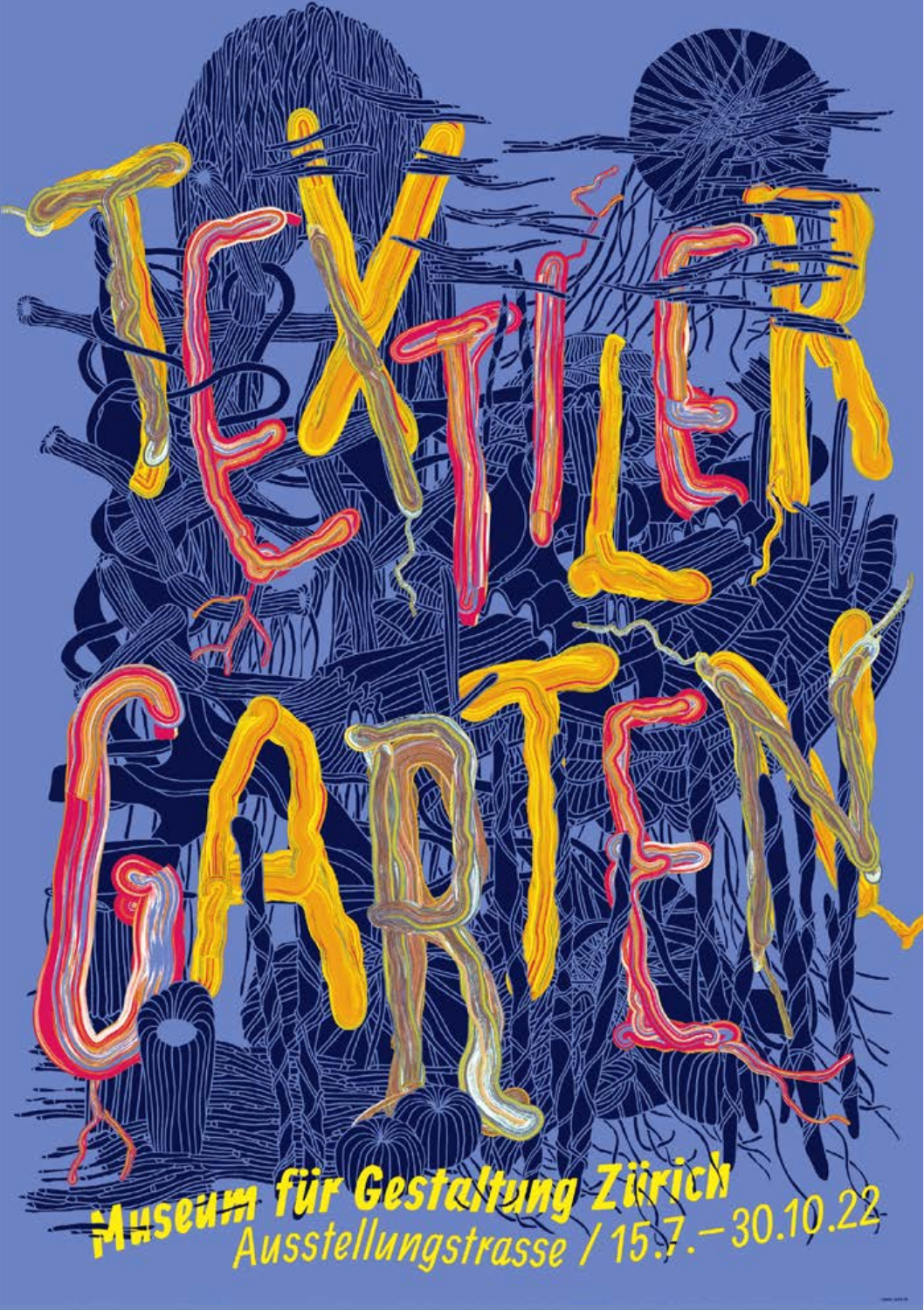